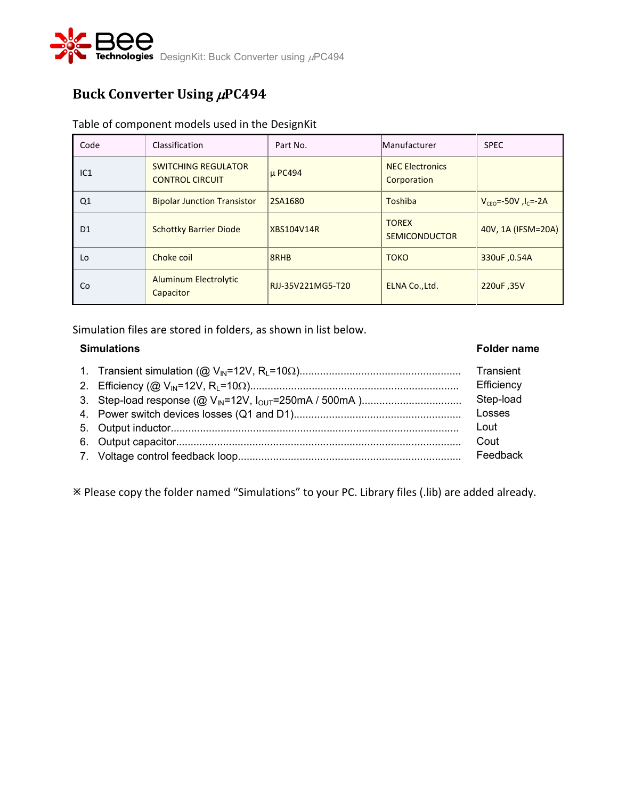

# Buck Converter Using  $\mu$ PC494

### Table of component models used in the DesignKit

| Code            | Classification                                       | Part No.          | Manufacturer                          | <b>SPEC</b>                    |
|-----------------|------------------------------------------------------|-------------------|---------------------------------------|--------------------------------|
| IC <sub>1</sub> | <b>SWITCHING REGULATOR</b><br><b>CONTROL CIRCUIT</b> | µ PC494           | <b>NEC Electronics</b><br>Corporation |                                |
| Q1              | <b>Bipolar Junction Transistor</b>                   | 2SA1680           | Toshiba                               | $V_{CFO} = -50V$ , $I_C = -2A$ |
| D <sub>1</sub>  | <b>Schottky Barrier Diode</b>                        | <b>XBS104V14R</b> | <b>TOREX</b><br><b>SEMICONDUCTOR</b>  | 40V, 1A (IFSM=20A)             |
| Lo              | Choke coil                                           | 8RHB              | <b>TOKO</b>                           | 330uF, 0.54A                   |
| Co              | <b>Aluminum Electrolytic</b><br>Capacitor            | RJJ-35V221MG5-T20 | ELNA Co., Ltd.                        | 220uF, 35V                     |

Simulation files are stored in folders, as shown in list below.

### **Simulations Folder name**

### 1. Transient simulation (@ VIN=12V, RL=10)....................................................... 2. Efficiency (@ VIN=12V, RL=10)....................................................................... 3. Step-load response (@ VIN=12V, IOUT=250mA / 500mA ).................................. 4. Power switch devices losses (Q1 and D1)......................................................... 5. Output inductor.................................................................................................. 6. Output capacitor................................................................................................. 7. Voltage control feedback loop............................................................................ **Transient Efficiency** Step-load Losses Lout Cout Feedback

Please copy the folder named "Simulations" to your PC. Library files (.lib) are added already.